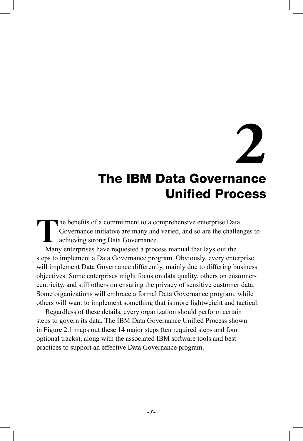**2**

# **The IBM Data Governance Unified Process**

The benefits of a commitment to a comprehensive enterprise Data<br>Governance initiative are many and varied, and so are the challer<br>achieving strong Data Governance.<br>Many enterprises have requested a present manual that lays Governance initiative are many and varied, and so are the challenges to achieving strong Data Governance.

Many enterprises have requested a process manual that lays out the steps to implement a Data Governance program. Obviously, every enterprise will implement Data Governance differently, mainly due to differing business objectives. Some enterprises might focus on data quality, others on customercentricity, and still others on ensuring the privacy of sensitive customer data. Some organizations will embrace a formal Data Governance program, while others will want to implement something that is more lightweight and tactical.

Regardless of these details, every organization should perform certain steps to govern its data. The IBM Data Governance Unified Process shown in Figure 2.1 maps out these 14 major steps (ten required steps and four optional tracks), along with the associated IBM software tools and best practices to support an effective Data Governance program.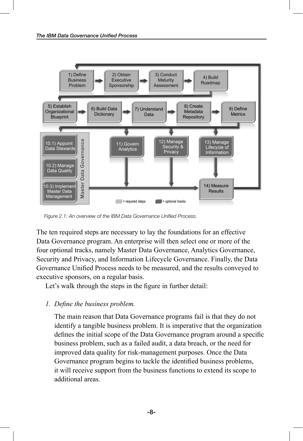

Figure 2.1: An overview of the IBM Data Governance Unified Process.

The ten required steps are necessary to lay the foundations for an effective Data Governance program. An enterprise will then select one or more of the four optional tracks, namely Master Data Governance, Analytics Governance, Security and Privacy, and Information Lifecycle Governance. Finally, the Data Governance Unified Process needs to be measured, and the results conveyed to executive sponsors, on a regular basis.

Let's walk through the steps in the figure in further detail:

# *1. Define the business problem.*

 The main reason that Data Governance programs fail is that they do not identify a tangible business problem. It is imperative that the organization defines the initial scope of the Data Governance program around a specific business problem, such as a failed audit, a data breach, or the need for improved data quality for risk-management purposes. Once the Data Governance program begins to tackle the identified business problems, it will receive support from the business functions to extend its scope to additional areas.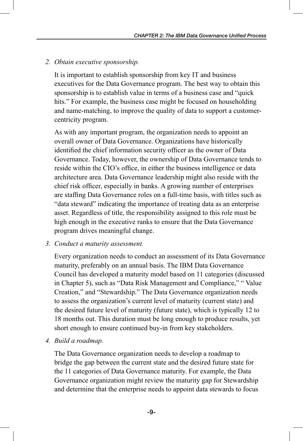### *2. Obtain executive sponsorship.*

 It is important to establish sponsorship from key IT and business executives for the Data Governance program. The best way to obtain this sponsorship is to establish value in terms of a business case and "quick hits." For example, the business case might be focused on householding and name-matching, to improve the quality of data to support a customercentricity program.

 As with any important program, the organization needs to appoint an overall owner of Data Governance. Organizations have historically identified the chief information security officer as the owner of Data Governance. Today, however, the ownership of Data Governance tends to reside within the CIO's office, in either the business intelligence or data architecture area. Data Governance leadership might also reside with the chief risk officer, especially in banks. A growing number of enterprises are staffing Data Governance roles on a full-time basis, with titles such as "data steward" indicating the importance of treating data as an enterprise asset. Regardless of title, the responsibility assigned to this role must be high enough in the executive ranks to ensure that the Data Governance program drives meaningful change.

*3. Conduct a maturity assessment.*

 Every organization needs to conduct an assessment of its Data Governance maturity, preferably on an annual basis. The IBM Data Governance Council has developed a maturity model based on 11 categories (discussed in Chapter 5), such as "Data Risk Management and Compliance," " Value Creation," and "Stewardship." The Data Governance organization needs to assess the organization's current level of maturity (current state) and the desired future level of maturity (future state), which is typically 12 to 18 months out. This duration must be long enough to produce results, yet short enough to ensure continued buy-in from key stakeholders.

*4. Build a roadmap.*

 The Data Governance organization needs to develop a roadmap to bridge the gap between the current state and the desired future state for the 11 categories of Data Governance maturity. For example, the Data Governance organization might review the maturity gap for Stewardship and determine that the enterprise needs to appoint data stewards to focus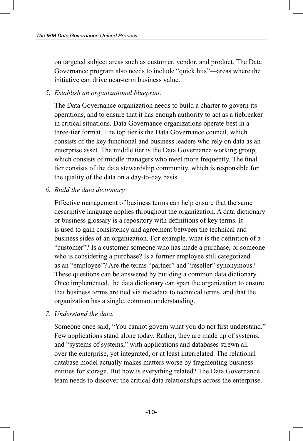on targeted subject areas such as customer, vendor, and product. The Data Governance program also needs to include "quick hits"—areas where the initiative can drive near-term business value.

*5. Establish an organizational blueprint.*

 The Data Governance organization needs to build a charter to govern its operations, and to ensure that it has enough authority to act as a tiebreaker in critical situations. Data Governance organizations operate best in a three-tier format. The top tier is the Data Governance council, which consists of the key functional and business leaders who rely on data as an enterprise asset. The middle tier is the Data Governance working group, which consists of middle managers who meet more frequently. The final tier consists of the data stewardship community, which is responsible for the quality of the data on a day-to-day basis.

*6. Build the data dictionary.*

 Effective management of business terms can help ensure that the same descriptive language applies throughout the organization. A data dictionary or business glossary is a repository with definitions of key terms. It is used to gain consistency and agreement between the technical and business sides of an organization. For example, what is the definition of a "customer"? Is a customer someone who has made a purchase, or someone who is considering a purchase? Is a former employee still categorized as an "employee"? Are the terms "partner" and "reseller" synonymous? These questions can be answered by building a common data dictionary. Once implemented, the data dictionary can span the organization to ensure that business terms are tied via metadata to technical terms, and that the organization has a single, common understanding.

*7. Understand the data.*

Someone once said, "You cannot govern what you do not first understand." Few applications stand alone today. Rather, they are made up of systems, and "systems of systems," with applications and databases strewn all over the enterprise, yet integrated, or at least interrelated. The relational database model actually makes matters worse by fragmenting business entities for storage. But how is everything related? The Data Governance team needs to discover the critical data relationships across the enterprise.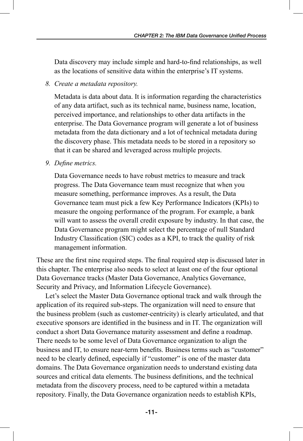Data discovery may include simple and hard-to-find relationships, as well as the locations of sensitive data within the enterprise's IT systems.

*8. Create a metadata repository.*

 Metadata is data about data. It is information regarding the characteristics of any data artifact, such as its technical name, business name, location, perceived importance, and relationships to other data artifacts in the enterprise. The Data Governance program will generate a lot of business metadata from the data dictionary and a lot of technical metadata during the discovery phase. This metadata needs to be stored in a repository so that it can be shared and leveraged across multiple projects.

9. Define metrics.

 Data Governance needs to have robust metrics to measure and track progress. The Data Governance team must recognize that when you measure something, performance improves. As a result, the Data Governance team must pick a few Key Performance Indicators (KPIs) to measure the ongoing performance of the program. For example, a bank will want to assess the overall credit exposure by industry. In that case, the Data Governance program might select the percentage of null Standard Industry Classification (SIC) codes as a KPI, to track the quality of risk management information.

These are the first nine required steps. The final required step is discussed later in this chapter. The enterprise also needs to select at least one of the four optional Data Governance tracks (Master Data Governance, Analytics Governance, Security and Privacy, and Information Lifecycle Governance).

Let's select the Master Data Governance optional track and walk through the application of its required sub-steps. The organization will need to ensure that the business problem (such as customer-centricity) is clearly articulated, and that executive sponsors are identified in the business and in IT. The organization will conduct a short Data Governance maturity assessment and define a roadmap. There needs to be some level of Data Governance organization to align the business and IT, to ensure near-term benefits. Business terms such as "customer" need to be clearly defined, especially if "customer" is one of the master data domains. The Data Governance organization needs to understand existing data sources and critical data elements. The business definitions, and the technical metadata from the discovery process, need to be captured within a metadata repository. Finally, the Data Governance organization needs to establish KPIs,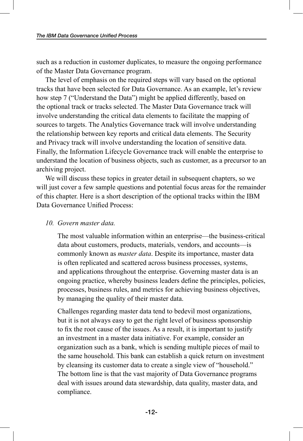such as a reduction in customer duplicates, to measure the ongoing performance of the Master Data Governance program.

The level of emphasis on the required steps will vary based on the optional tracks that have been selected for Data Governance. As an example, let's review how step 7 ("Understand the Data") might be applied differently, based on the optional track or tracks selected. The Master Data Governance track will involve understanding the critical data elements to facilitate the mapping of sources to targets. The Analytics Governance track will involve understanding the relationship between key reports and critical data elements. The Security and Privacy track will involve understanding the location of sensitive data. Finally, the Information Lifecycle Governance track will enable the enterprise to understand the location of business objects, such as customer, as a precursor to an archiving project.

We will discuss these topics in greater detail in subsequent chapters, so we will just cover a few sample questions and potential focus areas for the remainder of this chapter. Here is a short description of the optional tracks within the IBM Data Governance Unified Process:

#### *10. Govern master data.*

 The most valuable information within an enterprise—the business-critical data about customers, products, materials, vendors, and accounts—is commonly known as *master data*. Despite its importance, master data is often replicated and scattered across business processes, systems, and applications throughout the enterprise. Governing master data is an ongoing practice, whereby business leaders define the principles, policies, processes, business rules, and metrics for achieving business objectives, by managing the quality of their master data.

 Challenges regarding master data tend to bedevil most organizations, but it is not always easy to get the right level of business sponsorship to fix the root cause of the issues. As a result, it is important to justify an investment in a master data initiative. For example, consider an organization such as a bank, which is sending multiple pieces of mail to the same household. This bank can establish a quick return on investment by cleansing its customer data to create a single view of "household." The bottom line is that the vast majority of Data Governance programs deal with issues around data stewardship, data quality, master data, and compliance.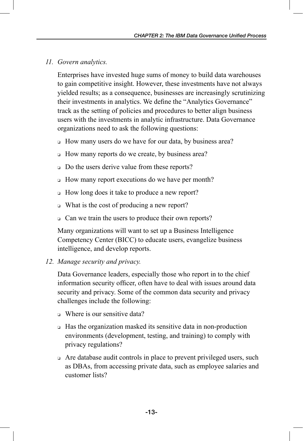# *11. Govern analytics.*

 Enterprises have invested huge sums of money to build data warehouses to gain competitive insight. However, these investments have not always yielded results; as a consequence, businesses are increasingly scrutinizing their investments in analytics. We define the "Analytics Governance" track as the setting of policies and procedures to better align business users with the investments in analytic infrastructure. Data Governance organizations need to ask the following questions:

- ❏ How many users do we have for our data, by business area?
- ❏ How many reports do we create, by business area?
- ❏ Do the users derive value from these reports?
- ❏ How many report executions do we have per month?
- ❏ How long does it take to produce a new report?
- ❏ What is the cost of producing a new report?
- ❏ Can we train the users to produce their own reports?

 Many organizations will want to set up a Business Intelligence Competency Center (BICC) to educate users, evangelize business intelligence, and develop reports.

*12. Manage security and privacy.*

 Data Governance leaders, especially those who report in to the chief information security officer, often have to deal with issues around data security and privacy. Some of the common data security and privacy challenges include the following:

- ❏ Where is our sensitive data?
- ❏ Has the organization masked its sensitive data in non-production environments (development, testing, and training) to comply with privacy regulations?
- ❏ Are database audit controls in place to prevent privileged users, such as DBAs, from accessing private data, such as employee salaries and customer lists?